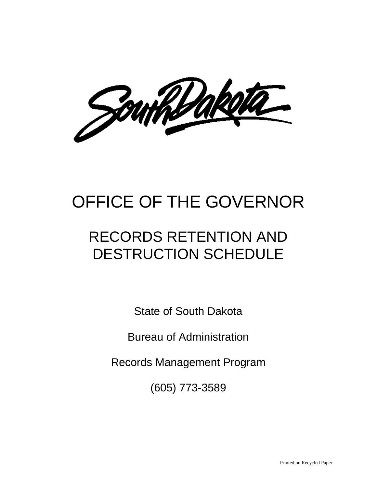Southbaketa

# OFFICE OF THE GOVERNOR

# RECORDS RETENTION AND DESTRUCTION SCHEDULE

State of South Dakota

Bureau of Administration

Records Management Program

(605) 773-3589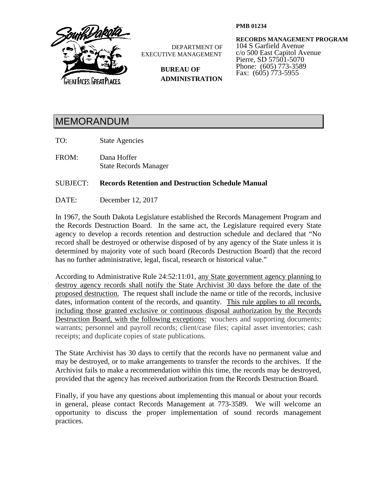

DEPARTMENT OF EXECUTIVE MANAGEMENT

> **BUREAU OF ADMINISTRATION**

**PMB 01234**

**RECORDS MANAGEMENT PROGRAM** 104 S Garfield Avenue c/o 500 East Capitol Avenue Pierre, SD 57501-5070 Phone: (605) 773-3589 Fax: (605) 773-5955

## MEMORANDUM

TO: State Agencies

FROM: Dana Hoffer State Records Manager

## SUBJECT: **Records Retention and Destruction Schedule Manual**

DATE: December 12, 2017

In 1967, the South Dakota Legislature established the Records Management Program and the Records Destruction Board. In the same act, the Legislature required every State agency to develop a records retention and destruction schedule and declared that "No record shall be destroyed or otherwise disposed of by any agency of the State unless it is determined by majority vote of such board (Records Destruction Board) that the record has no further administrative, legal, fiscal, research or historical value."

According to Administrative Rule 24:52:11:01, any State government agency planning to destroy agency records shall notify the State Archivist 30 days before the date of the proposed destruction. The request shall include the name or title of the records, inclusive dates, information content of the records, and quantity. This rule applies to all records, including those granted exclusive or continuous disposal authorization by the Records Destruction Board, with the following exceptions: vouchers and supporting documents; warrants; personnel and payroll records; client/case files; capital asset inventories; cash receipts; and duplicate copies of state publications.

The State Archivist has 30 days to certify that the records have no permanent value and may be destroyed, or to make arrangements to transfer the records to the archives. If the Archivist fails to make a recommendation within this time, the records may be destroyed, provided that the agency has received authorization from the Records Destruction Board.

Finally, if you have any questions about implementing this manual or about your records in general, please contact Records Management at 773-3589. We will welcome an opportunity to discuss the proper implementation of sound records management practices.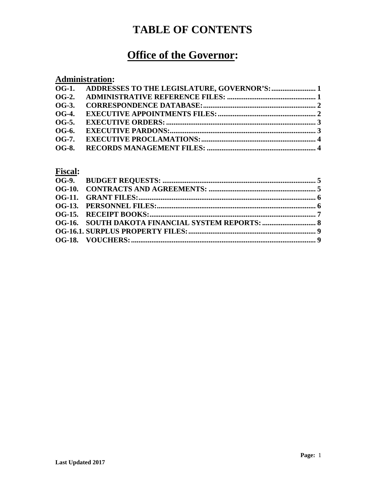## **TABLE OF CONTENTS**

## **Office of the Governor:**

## **Administration:**

| OG-3.        |  |
|--------------|--|
|              |  |
| <b>OG-5.</b> |  |
| OG-6.        |  |
|              |  |
|              |  |
|              |  |

## **Fiscal:**

| <b>OG-16. SOUTH DAKOTA FINANCIAL SYSTEM REPORTS:  8</b> |  |
|---------------------------------------------------------|--|
|                                                         |  |
|                                                         |  |
|                                                         |  |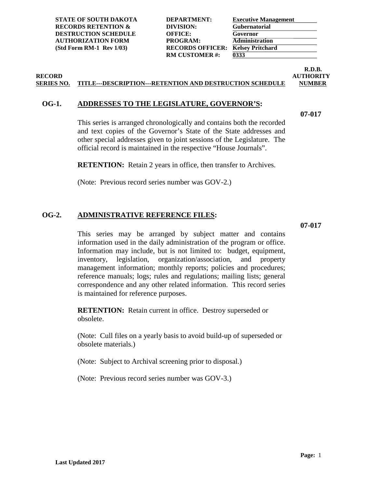**STATE OF SOUTH DAKOTA RECORDS RETENTION & DESTRUCTION SCHEDULE**  $AUTHORIZATION FORM$ **(Std Form RM-1 Rev 1/03)** 

| <b>DEPARTMENT:</b>      | Exec        |
|-------------------------|-------------|
| DIVISION:               | Gub         |
| <b>OFFICE:</b>          | Gove        |
| PROGRAM:                | Adm         |
| <b>RECORDS OFFICER:</b> | <b>Kels</b> |
| <b>RM CUSTOMER#:</b>    | 0333        |
|                         |             |

|          | <b>Executive Management</b> |  |
|----------|-----------------------------|--|
|          | <b>Gubernatorial</b>        |  |
| Governor |                             |  |
|          | <b>Administration</b>       |  |
|          | <b>Kelsey Pritchard</b>     |  |
| 0333     |                             |  |

## **RECORD AUTHORITY SERIES NO. TITLE---DESCRIPTION---RETENTION AND DESTRUCTION SCHEDULE NUMBER**

## <span id="page-3-0"></span>**OG-1. ADDRESSES TO THE LEGISLATURE, GOVERNOR'S:**

**07-017**

**R.D.B.**

This series is arranged chronologically and contains both the recorded and text copies of the Governor's State of the State addresses and other special addresses given to joint sessions of the Legislature. The official record is maintained in the respective "House Journals".

**RETENTION:** Retain 2 years in office, then transfer to Archives.

(Note: Previous record series number was GOV-2.)

## <span id="page-3-1"></span>**OG-2. ADMINISTRATIVE REFERENCE FILES:**

**07-017**

This series may be arranged by subject matter and contains information used in the daily administration of the program or office. Information may include, but is not limited to: budget, equipment, inventory, legislation, organization/association, and property management information; monthly reports; policies and procedures; reference manuals; logs; rules and regulations; mailing lists; general correspondence and any other related information. This record series is maintained for reference purposes.

**RETENTION:** Retain current in office. Destroy superseded or obsolete.

(Note: Cull files on a yearly basis to avoid build-up of superseded or obsolete materials.)

(Note: Subject to Archival screening prior to disposal.)

(Note: Previous record series number was GOV-3.)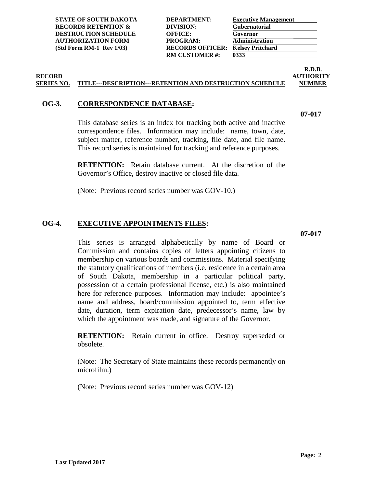**STATE OF SOUTH DAKOTA DEPARTMENT: RECORDS RETENTION & DIVISION: DESTRUCTION SCHEDULE OFFICE: AUTHORIZATION FORM PROGRAM: (Std Form RM-1 Rev 1/03) RECORDS OFFICER:** 

**RM CUSTOMER #: 0333**

| <b>Executive Management</b> |
|-----------------------------|
| <b>Gubernatorial</b>        |
| Governor                    |
| <b>Administration</b>       |
| <b>Kelsey Pritchard</b>     |
| 0333                        |
|                             |

## **RECORD AUTHORITY SERIES NO. TITLE---DESCRIPTION---RETENTION AND DESTRUCTION SCHEDULE NUMBER**

## <span id="page-4-0"></span>**OG-3. CORRESPONDENCE DATABASE:**

This database series is an index for tracking both active and inactive correspondence files. Information may include: name, town, date, subject matter, reference number, tracking, file date, and file name. This record series is maintained for tracking and reference purposes.

**RETENTION:** Retain database current. At the discretion of the Governor's Office, destroy inactive or closed file data.

(Note: Previous record series number was GOV-10.)

## <span id="page-4-1"></span>**OG-4. EXECUTIVE APPOINTMENTS FILES:**

This series is arranged alphabetically by name of Board or Commission and contains copies of letters appointing citizens to membership on various boards and commissions. Material specifying the statutory qualifications of members (i.e. residence in a certain area of South Dakota, membership in a particular political party, possession of a certain professional license, etc.) is also maintained here for reference purposes. Information may include: appointee's name and address, board/commission appointed to, term effective date, duration, term expiration date, predecessor's name, law by which the appointment was made, and signature of the Governor.

**RETENTION:** Retain current in office. Destroy superseded or obsolete.

(Note: The Secretary of State maintains these records permanently on microfilm.)

(Note: Previous record series number was GOV-12)

**07-017**

**07-017**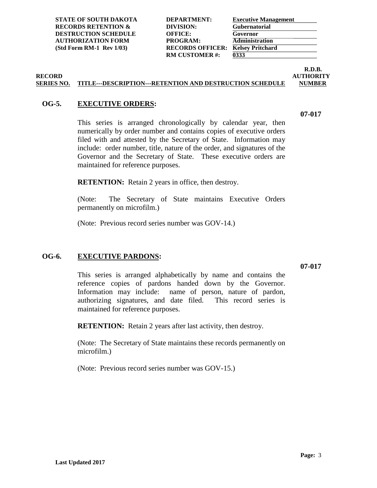| <b>STATE OF SOUTH DAKOTA</b>   |
|--------------------------------|
| <b>RECORDS RETENTION &amp;</b> |
| <b>DESTRUCTION SCHEDULE</b>    |
| <b>AUTHORIZATION FORM</b>      |
| (Std Form RM-1 Rev 1/03)       |

| <b>Executive Management</b> |
|-----------------------------|
| Gubernatorial               |
| Governor                    |
| <b>Administration</b>       |
| <b>Kelsey Pritchard</b>     |
| 0333                        |

## **RECORD AUTHORITY SERIES NO. TITLE---DESCRIPTION---RETENTION AND DESTRUCTION SCHEDULE NUMBER**

## <span id="page-5-0"></span>**OG-5. EXECUTIVE ORDERS:**

This series is arranged chronologically by calendar year, then numerically by order number and contains copies of executive orders filed with and attested by the Secretary of State. Information may include: order number, title, nature of the order, and signatures of the Governor and the Secretary of State. These executive orders are maintained for reference purposes.

**RETENTION:** Retain 2 years in office, then destroy.

(Note: The Secretary of State maintains Executive Orders permanently on microfilm.)

(Note: Previous record series number was GOV-14.)

## <span id="page-5-1"></span>**OG-6. EXECUTIVE PARDONS:**

**07-017**

This series is arranged alphabetically by name and contains the reference copies of pardons handed down by the Governor. Information may include: name of person, nature of pardon, authorizing signatures, and date filed. This record series is maintained for reference purposes.

**RETENTION:** Retain 2 years after last activity, then destroy.

(Note: The Secretary of State maintains these records permanently on microfilm.)

(Note: Previous record series number was GOV-15.)

**07-017**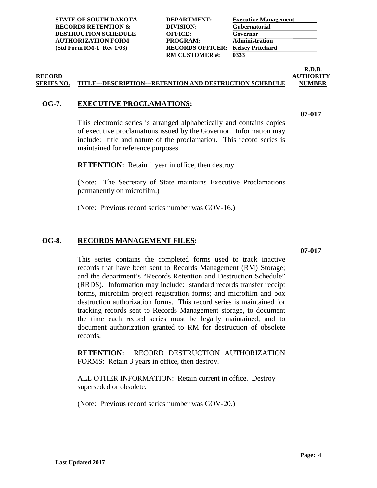| <b>RECORDS RETENTION &amp;</b> | DIVISION:               | <b>Gubernatorial</b>    |
|--------------------------------|-------------------------|-------------------------|
| <b>DESTRUCTION SCHEDULE</b>    | <b>OFFICE:</b>          | Governor                |
| <b>AUTHORIZATION FORM</b>      | PROGRAM:                | <b>Administration</b>   |
| $(Std Form RM-1 Rev 1/03)$     | <b>RECORDS OFFICER:</b> | <b>Kelsey Pritchard</b> |
|                                | <b>RM CUSTOMER #:</b>   | 0333                    |
|                                |                         |                         |
|                                |                         |                         |

**STATE OF SOUTH DAKOTA DEPARTMENT: Executive Management**

# **R.D.B.**

**07-017**

#### **RECORD AUTHORITY SERIES NO. TITLE---DESCRIPTION---RETENTION AND DESTRUCTION SCHEDULE NUMBER**

## <span id="page-6-0"></span>**OG-7. EXECUTIVE PROCLAMATIONS:**

This electronic series is arranged alphabetically and contains copies of executive proclamations issued by the Governor. Information may include: title and nature of the proclamation. This record series is maintained for reference purposes.

**RETENTION:** Retain 1 year in office, then destroy.

(Note: The Secretary of State maintains Executive Proclamations permanently on microfilm.)

(Note: Previous record series number was GOV-16.)

### <span id="page-6-1"></span>**OG-8. RECORDS MANAGEMENT FILES:**

**07-017**

This series contains the completed forms used to track inactive records that have been sent to Records Management (RM) Storage; and the department's "Records Retention and Destruction Schedule" (RRDS). Information may include: standard records transfer receipt forms, microfilm project registration forms; and microfilm and box destruction authorization forms. This record series is maintained for tracking records sent to Records Management storage, to document the time each record series must be legally maintained, and to document authorization granted to RM for destruction of obsolete records.

**RETENTION:** RECORD DESTRUCTION AUTHORIZATION FORMS: Retain 3 years in office, then destroy.

ALL OTHER INFORMATION: Retain current in office. Destroy superseded or obsolete.

(Note: Previous record series number was GOV-20.)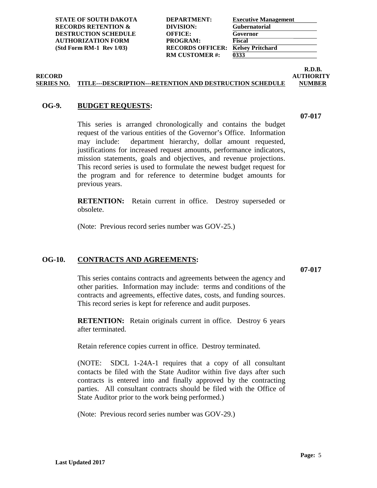**STATE OF SOUTH DAKOTA RECORDS RETENTION & DESTRUCTION SCHEDULE AUTHORIZATION FORM** (Std Form RM-1 Rev 1/03) RECORDS OFFICER:

| <b>DEPARTMENT:</b>      | Exec         |
|-------------------------|--------------|
| DIVISION:               | Gub          |
| OFFICE:                 | Gove         |
| PROGRAM:                | <b>Fisca</b> |
| <b>RECORDS OFFICER:</b> | <b>Kels</b>  |
| <b>RM CUSTOMER#:</b>    | 0333         |
|                         |              |

| <b>Executive Management</b> |  |
|-----------------------------|--|
| <b>Gubernatorial</b>        |  |
| Governor                    |  |
| <b>Fiscal</b>               |  |
| <b>Kelsey Pritchard</b>     |  |
| 0333                        |  |

## **RECORD AUTHORITY SERIES NO. TITLE---DESCRIPTION---RETENTION AND DESTRUCTION SCHEDULE NUMBER**

## <span id="page-7-0"></span>**OG-9. BUDGET REQUESTS:**

This series is arranged chronologically and contains the budget request of the various entities of the Governor's Office. Information may include: department hierarchy, dollar amount requested, justifications for increased request amounts, performance indicators, mission statements, goals and objectives, and revenue projections. This record series is used to formulate the newest budget request for the program and for reference to determine budget amounts for previous years.

**RETENTION:** Retain current in office. Destroy superseded or obsolete.

(Note: Previous record series number was GOV-25.)

## <span id="page-7-1"></span>**OG-10. CONTRACTS AND AGREEMENTS:**

**07-017**

This series contains contracts and agreements between the agency and other parities. Information may include: terms and conditions of the contracts and agreements, effective dates, costs, and funding sources. This record series is kept for reference and audit purposes.

**RETENTION:** Retain originals current in office. Destroy 6 years after terminated.

Retain reference copies current in office. Destroy terminated.

(NOTE: SDCL 1-24A-1 requires that a copy of all consultant contacts be filed with the State Auditor within five days after such contracts is entered into and finally approved by the contracting parties. All consultant contracts should be filed with the Office of State Auditor prior to the work being performed.)

(Note: Previous record series number was GOV-29.)

**07-017**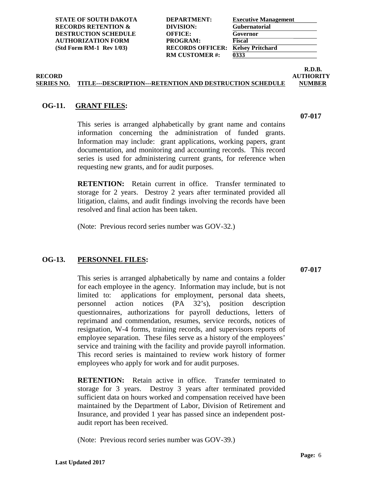**STATE OF SOUTH DAKOTA RECORDS RETENTION & DESTRUCTION SCHEDULE AUTHORIZATION FORM** (Std Form RM-1 Rev 1/03) RECORDS OFFICER:

| <b>DEPARTMENT:</b>      | Exec         |
|-------------------------|--------------|
| DIVISION:               | Gub          |
| <b>OFFICE:</b>          | Gove         |
| PROGRAM:                | <b>Fisca</b> |
| <b>RECORDS OFFICER:</b> | <b>Kels</b>  |
| <b>RM CUSTOMER#:</b>    | 0333         |
|                         |              |

|      | <b>Executive Management</b> |
|------|-----------------------------|
|      | Gubernatorial               |
|      | Governor                    |
|      | <b>Fiscal</b>               |
|      | <b>Kelsey Pritchard</b>     |
| 0333 |                             |

## **RECORD AUTHORITY SERIES NO. TITLE---DESCRIPTION---RETENTION AND DESTRUCTION SCHEDULE NUMBER**

## <span id="page-8-0"></span>**OG-11. GRANT FILES:**

This series is arranged alphabetically by grant name and contains information concerning the administration of funded grants. Information may include: grant applications, working papers, grant documentation, and monitoring and accounting records. This record series is used for administering current grants, for reference when requesting new grants, and for audit purposes.

**RETENTION:** Retain current in office. Transfer terminated to storage for 2 years. Destroy 2 years after terminated provided all litigation, claims, and audit findings involving the records have been resolved and final action has been taken.

(Note: Previous record series number was GOV-32.)

## <span id="page-8-1"></span>**OG-13. PERSONNEL FILES:**

**07-017**

This series is arranged alphabetically by name and contains a folder for each employee in the agency. Information may include, but is not limited to: applications for employment, personal data sheets, personnel action notices (PA 32's), position description questionnaires, authorizations for payroll deductions, letters of reprimand and commendation, resumes, service records, notices of resignation, W-4 forms, training records, and supervisors reports of employee separation. These files serve as a history of the employees' service and training with the facility and provide payroll information. This record series is maintained to review work history of former employees who apply for work and for audit purposes.

**RETENTION:** Retain active in office. Transfer terminated to storage for 3 years. Destroy 3 years after terminated provided sufficient data on hours worked and compensation received have been maintained by the Department of Labor, Division of Retirement and Insurance, and provided 1 year has passed since an independent postaudit report has been received.

(Note: Previous record series number was GOV-39.)

**07-017**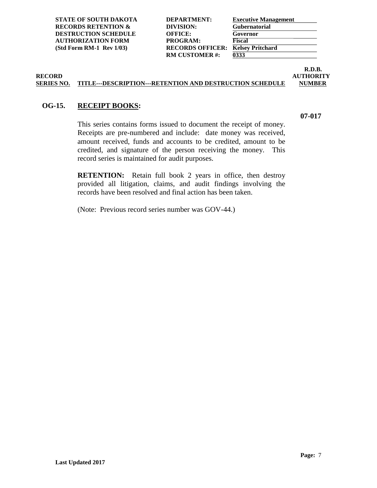**STATE OF SOUTH DAKOTA RECORDS RETENTION & DESTRUCTION SCHEDULE AUTHORIZATION FORM PROGRAM:**<br> **FIGURE 18 (SEE PROGRAM: FIGURE PROGRAM: FIGURE PROGRAM: FIGURE PROGRAM: FIGURE PROGRAM: (Std Form RM-1 Rev 1/03)** 

| <b>DEPARTMENT:</b>      | Exec         |
|-------------------------|--------------|
| DIVISION:               | Gub          |
| <b>OFFICE:</b>          | Gove         |
| PROGRAM:                | <b>Fisca</b> |
| <b>RECORDS OFFICER:</b> | <b>Kels</b>  |
| <b>RM CUSTOMER#:</b>    | 0333         |
|                         |              |

|               | <b>Executive Management</b> |  |
|---------------|-----------------------------|--|
|               | <b>Gubernatorial</b>        |  |
| Governor      |                             |  |
| <b>Fiscal</b> |                             |  |
|               | <b>Kelsey Pritchard</b>     |  |
| 0333          |                             |  |

## **RECORD AUTHORITY SERIES NO. TITLE---DESCRIPTION---RETENTION AND DESTRUCTION SCHEDULE NUMBER**

## <span id="page-9-0"></span>**OG-15. RECEIPT BOOKS:**

**07-017**

**R.D.B.**

This series contains forms issued to document the receipt of money. Receipts are pre-numbered and include: date money was received, amount received, funds and accounts to be credited, amount to be credited, and signature of the person receiving the money. This record series is maintained for audit purposes.

**RETENTION:** Retain full book 2 years in office, then destroy provided all litigation, claims, and audit findings involving the records have been resolved and final action has been taken.

(Note: Previous record series number was GOV-44.)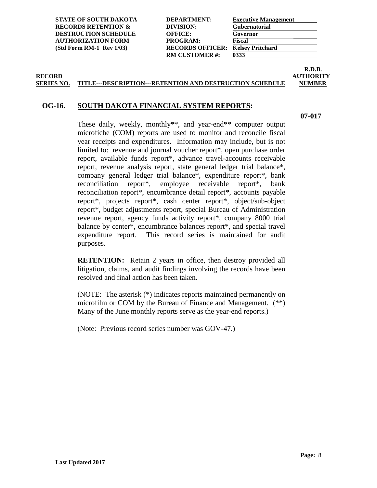**STATE OF SOUTH DAKOTA RECORDS RETENTION & DESTRUCTION SCHEDULE AUTHORIZATION FORM** (Std Form RM-1 Rev 1/03) RECORDS OFFICER:

| <b>DEPARTMENT:</b>      | Exec         |
|-------------------------|--------------|
| DIVISION:               | Gub          |
| <b>OFFICE:</b>          | Gove         |
| PROGRAM:                | <b>Fisca</b> |
| <b>RECORDS OFFICER:</b> | <b>Kels</b>  |
| <b>RM CUSTOMER#:</b>    | 0333         |
|                         |              |

| <b>Executive Management</b> |
|-----------------------------|
| <b>Gubernatorial</b>        |
| Governor                    |
| <b>Fiscal</b>               |
| <b>Kelsey Pritchard</b>     |
| 0333                        |
|                             |

### **RECORD AUTHORITY SERIES NO. TITLE---DESCRIPTION---RETENTION AND DESTRUCTION SCHEDULE NUMBER**

### <span id="page-10-0"></span>**OG-16. SOUTH DAKOTA FINANCIAL SYSTEM REPORTS:**

**07-017**

**R.D.B.**

These daily, weekly, monthly\*\*, and year-end\*\* computer output microfiche (COM) reports are used to monitor and reconcile fiscal year receipts and expenditures. Information may include, but is not limited to: revenue and journal voucher report\*, open purchase order report, available funds report\*, advance travel-accounts receivable report, revenue analysis report, state general ledger trial balance\*, company general ledger trial balance\*, expenditure report\*, bank reconciliation report\*, employee receivable report\*, bank reconciliation report\*, encumbrance detail report\*, accounts payable report\*, projects report\*, cash center report\*, object/sub-object report\*, budget adjustments report, special Bureau of Administration revenue report, agency funds activity report\*, company 8000 trial balance by center\*, encumbrance balances report\*, and special travel expenditure report. This record series is maintained for audit purposes.

**RETENTION:** Retain 2 years in office, then destroy provided all litigation, claims, and audit findings involving the records have been resolved and final action has been taken.

(NOTE: The asterisk (\*) indicates reports maintained permanently on microfilm or COM by the Bureau of Finance and Management. (\*\*) Many of the June monthly reports serve as the year-end reports.)

(Note: Previous record series number was GOV-47.)